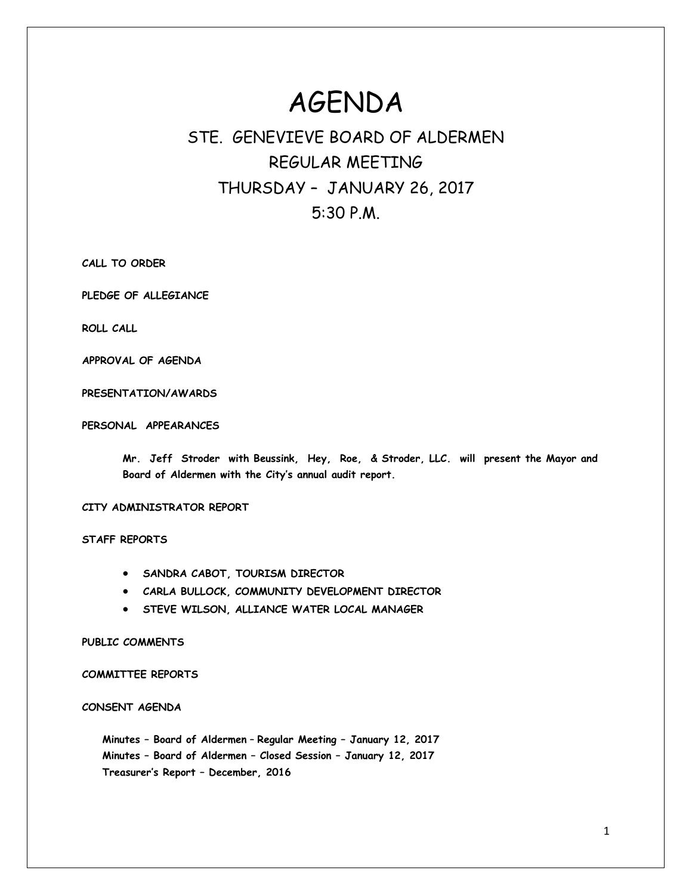# AGENDA

# STE. GENEVIEVE BOARD OF ALDERMEN REGULAR MEETING THURSDAY – JANUARY 26, 2017 5:30 P.M.

**CALL TO ORDER**

**PLEDGE OF ALLEGIANCE**

**ROLL CALL**

**APPROVAL OF AGENDA**

**PRESENTATION/AWARDS**

**PERSONAL APPEARANCES**

**Mr. Jeff Stroder with Beussink, Hey, Roe, & Stroder, LLC. will present the Mayor and Board of Aldermen with the City's annual audit report.** 

**CITY ADMINISTRATOR REPORT**

**STAFF REPORTS**

- **SANDRA CABOT, TOURISM DIRECTOR**
- **CARLA BULLOCK, COMMUNITY DEVELOPMENT DIRECTOR**
- **STEVE WILSON, ALLIANCE WATER LOCAL MANAGER**

**PUBLIC COMMENTS**

**COMMITTEE REPORTS**

**CONSENT AGENDA** 

**Minutes – Board of Aldermen** – **Regular Meeting – January 12, 2017 Minutes – Board of Aldermen – Closed Session – January 12, 2017 Treasurer's Report – December, 2016**